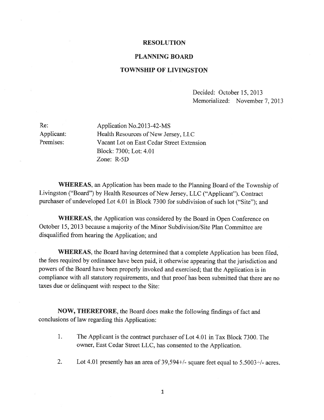## RESOLUTION

## PLANNING BOARD

## TOWNSHIP OF LIVINGSTON

Decided: October 15, 2013 Memorialized: November 7, 2013

Re: Application No.2013-42-MS Applicant: Health Resources of New Jersey, LLC Premises: Vacant Lot on East Cedar Street Extension Block: 7300; Lot: 4.01 Zone: R-5D

WHEREAS, an Application has been made to the Planning Board of the Township of Livingston ("Board") by Health Resources of New Jersey, LLC ("Applicant"). Contract purchaser of undeveloped Lot 4.01 in Block <sup>7300</sup> for subdivision of such lot ("Site"); and

WHEREAS, the Application was considered by the Board in Open Conference on October 15, 2013 because a majority of the Minor Subdivision/Site Plan Committee are disqualified from hearing the Application; and

WHEREAS, the Board having determined that <sup>a</sup> complete Application has been filed, the fees required by ordinance have been paid, it otherwise appearing that the jurisdiction and powers of the Board have been properly invoked and exercised; that the Application is in compliance with all statutory requirements, and that proo<sup>f</sup> has been submitted that there are no taxes due or delinquent with respec<sup>t</sup> to the Site:

NOW, THEREFORE, the Board does make the following findings of fact and conclusions of law regarding this Application:

- 1. The Applicant is the contract purchaser of Lot 4.01 in Tax Block 7300. The owner, East Cedar Street LLC, has consented to the Application.
- 2. Lot 4.01 presently has an area of 39,594+/- square feet equal to 5.5003+/- acres.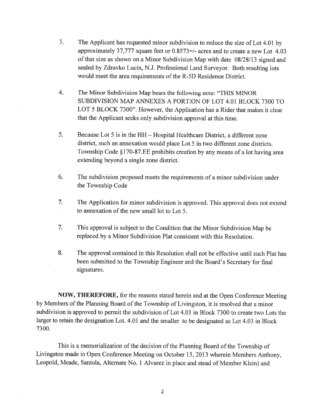- 3. The Applicant has requested minor subdivision to reduce the size of Lot 4.01 by approximately 37,777 square feet or  $0.8573=/-$  acres and to create a new Lot 4.03 of that size as shown on a Minor Subdivision Map with date 08/28/13 signed and sealed by Zdravko Lucin, N.J. Professional Land Surveyor. Both resulting lots would meet the area requirements of the R-5D Residence District.
- 4. The Minor Subdivision Map bears the following note: "THIS MfNOR SUBDIVISION MAP ANNEXES A PORTION OF LOT 4.01 BLOCK 7300 TO LOT 5 BLOCK 7300". However, the Application has <sup>a</sup> Rider that makes it clear that the Applicant seeks only subdivision approval at this time.
- 5. Because Lot 5 is in the HR Hospital Healthcare District, <sup>a</sup> different zone district, such an annexation would place Lot 5 in two different zone districts. Township Code §170-87.EE prohibits creation by any means of <sup>a</sup> lot having area extending beyond <sup>a</sup> single zone district.
- 6. The subdivision proposed meets the requirements of <sup>a</sup> minor subdivision under the Township Code
- 7. The Application for minor subdivision is approved. This approva<sup>l</sup> does not extend to annexation of the new small lot to Lot 5.
- 7. This approva<sup>l</sup> is subject to the Condition that the Minor Subdivision Map be replaced by <sup>a</sup> Minor Subdivision Plat consistent with this Resolution.
- 8. The approval contained in this Resolution shall not be effective until such Plat has been submitted to the Township Engineer and the Board's Secretary for final signatures.

NOW, THEREFORE, for the reasons stated herein and at the Open Conference Meeting by Members of the Planning Board of the Township of Livingston, it is resolved that a minor subdivision is approved to permit the subdivision of Lot 4.01 in Block 7300 to create two Lots the larger to retain the designation Lot. 4.01 and the smaller to be designated as Lot 4.03 in Block 7300.

This is a memorialization of the decision of the Planning Board of the Township of Livingston made in Open Conference Meeting on October 15, <sup>2013</sup> wherein Members Anthony, Leopold, Meade, Santola, Alternate No. <sup>1</sup> Alvarez in <sup>p</sup>lace and stead of Member Klein) and